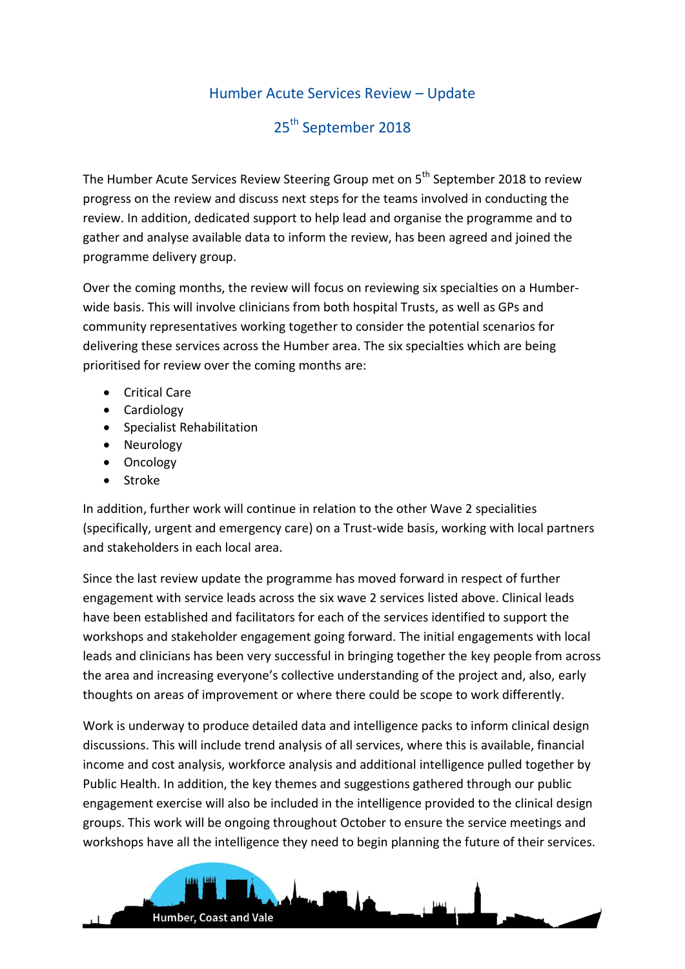## Humber Acute Services Review – Update

## 25<sup>th</sup> September 2018

The Humber Acute Services Review Steering Group met on 5<sup>th</sup> September 2018 to review progress on the review and discuss next steps for the teams involved in conducting the review. In addition, dedicated support to help lead and organise the programme and to gather and analyse available data to inform the review, has been agreed and joined the programme delivery group.

Over the coming months, the review will focus on reviewing six specialties on a Humberwide basis. This will involve clinicians from both hospital Trusts, as well as GPs and community representatives working together to consider the potential scenarios for delivering these services across the Humber area. The six specialties which are being prioritised for review over the coming months are:

- Critical Care
- Cardiology
- Specialist Rehabilitation

Humber, Coast and Vale

- Neurology
- Oncology
- Stroke

In addition, further work will continue in relation to the other Wave 2 specialities (specifically, urgent and emergency care) on a Trust-wide basis, working with local partners and stakeholders in each local area.

Since the last review update the programme has moved forward in respect of further engagement with service leads across the six wave 2 services listed above. Clinical leads have been established and facilitators for each of the services identified to support the workshops and stakeholder engagement going forward. The initial engagements with local leads and clinicians has been very successful in bringing together the key people from across the area and increasing everyone's collective understanding of the project and, also, early thoughts on areas of improvement or where there could be scope to work differently.

Work is underway to produce detailed data and intelligence packs to inform clinical design discussions. This will include trend analysis of all services, where this is available, financial income and cost analysis, workforce analysis and additional intelligence pulled together by Public Health. In addition, the key themes and suggestions gathered through our public engagement exercise will also be included in the intelligence provided to the clinical design groups. This work will be ongoing throughout October to ensure the service meetings and workshops have all the intelligence they need to begin planning the future of their services.